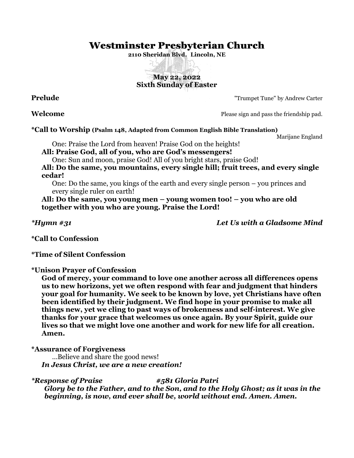# Westminster Presbyterian Church

**2110 Sheridan Blvd. Lincoln, NE**

# **May 22, 2022 Sixth Sunday of Easter**

**Prelude** Trumpet Tune" by Andrew Carter

**Welcome** Please sign and pass the friendship pad.

#### **\*Call to Worship (Psalm 148, Adapted from Common English Bible Translation)**

Marijane England

One: Praise the Lord from heaven! Praise God on the heights!

**All: Praise God, all of you, who are God's messengers!**

One: Sun and moon, praise God! All of you bright stars, praise God!

**All: Do the same, you mountains, every single hill; fruit trees, and every single cedar!**

One: Do the same, you kings of the earth and every single person – you princes and every single ruler on earth!

**All: Do the same, you young men – young women too! – you who are old together with you who are young. Praise the Lord!**

*\*Hymn #31 Let Us with a Gladsome Mind*

**\*Call to Confession**

**\*Time of Silent Confession**

**\*Unison Prayer of Confession**

**God of mercy, your command to love one another across all differences opens us to new horizons, yet we often respond with fear and judgment that hinders your goal for humanity. We seek to be known by love, yet Christians have often been identified by their judgment. We find hope in your promise to make all things new, yet we cling to past ways of brokenness and self-interest. We give thanks for your grace that welcomes us once again. By your Spirit, guide our lives so that we might love one another and work for new life for all creation. Amen.**

#### **\*Assurance of Forgiveness**

…Believe and share the good news! *In Jesus Christ, we are a new creation!*

*\*Response of Praise #581 Gloria Patri Glory be to the Father, and to the Son, and to the Holy Ghost; as it was in the beginning, is now, and ever shall be, world without end. Amen. Amen.*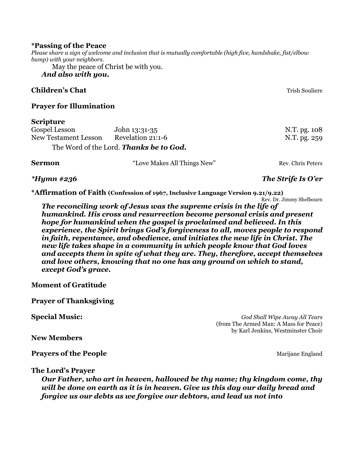#### **\*Passing of the Peace**

*Please share a sign of welcome and inclusion that is mutually comfortable (high five, handshake, fist/elbow bump) with your neighbors.*

May the peace of Christ be with you.

# *And also with you.*

### **Children's Chat** Trish Souliere and Trish Souliere and Trish Souliere and Trish Souliere

#### **Prayer for Illumination**

#### **Scripture**

| Gospel Lesson        | John 13:31-35                           | N.T. pg. 108 |
|----------------------|-----------------------------------------|--------------|
| New Testament Lesson | Revelation 21:1-6                       | N.T. pg. 259 |
|                      | The Word of the Lord. Thanks be to God. |              |

**Sermon** "Love Makes All Things New" Rev. Chris Peters

#### *\*Hymn #236 The Strife Is O'er*

**\*Affirmation of Faith (Confession of 1967, Inclusive Language Version 9.21/9.22)**

Rev. Dr. Jimmy Shelbourn *The reconciling work of Jesus was the supreme crisis in the life of humankind. His cross and resurrection become personal crisis and present hope for humankind when the gospel is proclaimed and believed. In this experience, the Spirit brings God's forgiveness to all, moves people to respond in faith, repentance, and obedience, and initiates the new life in Christ. The new life takes shape in a community in which people know that God loves and accepts them in spite of what they are. They, therefore, accept themselves and love others, knowing that no one has any ground on which to stand, except God's grace.*

### **Moment of Gratitude**

**Prayer of Thanksgiving**

**Special Music:** *God Shall Wipe Away All Tears* (from The Armed Man: A Mass for Peace) by Karl Jenkins, Westminster Choir

**New Members**

**Prayers of the People** Marijane England

**The Lord's Prayer**

*Our Father, who art in heaven, hallowed be thy name; thy kingdom come, thy will be done on earth as it is in heaven. Give us this day our daily bread and forgive us our debts as we forgive our debtors, and lead us not into*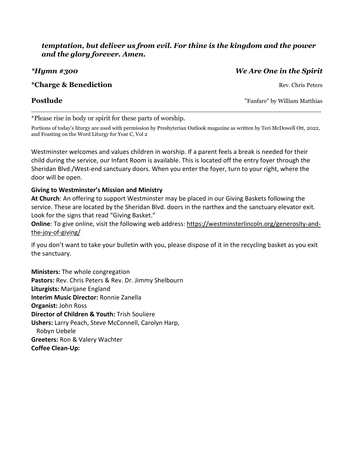# *temptation, but deliver us from evil. For thine is the kingdom and the power and the glory forever. Amen.*

# *\*Hymn #300 We Are One in the Spirit*

## **\*Charge & Benediction** Rev. Chris Peters

**Postlude** The Tangle of Tangle of Tangle of Tangle of Tangle of Tangle of Tangle of Tangle of Tangle of Tangle of Tangle of Tangle of Tangle of Tangle of Tangle of Tangle of Tangle of Tangle of Tangle of Tangle of Tangle

----------------------------------------------------------------------------------------------------------------------------------------------------- \*Please rise in body or spirit for these parts of worship.

Portions of today's liturgy are used with permission by Presbyterian Outlook magazine as written by Teri McDowell Ott, 2022, and Feasting on the Word Liturgy for Year C, Vol 2

Westminster welcomes and values children in worship. If a parent feels a break is needed for their child during the service, our Infant Room is available. This is located off the entry foyer through the Sheridan Blvd./West-end sanctuary doors. When you enter the foyer, turn to your right, where the door will be open.

# **Giving to Westminster's Mission and Ministry**

**At Church**: An offering to support Westminster may be placed in our Giving Baskets following the service. These are located by the Sheridan Blvd. doors in the narthex and the sanctuary elevator exit. Look for the signs that read "Giving Basket."

**Online**: To give online, visit the following web address: [https://westminsterlincoln.org/generosity-and](https://westminsterlincoln.org/generosity-and-the-joy-of-giving/)[the-joy-of-giving/](https://westminsterlincoln.org/generosity-and-the-joy-of-giving/)

If you don't want to take your bulletin with you, please dispose of it in the recycling basket as you exit the sanctuary.

**Ministers:** The whole congregation **Pastors:** Rev. Chris Peters & Rev. Dr. Jimmy Shelbourn **Liturgists:** Marijane England **Interim Music Director:** Ronnie Zanella **Organist:** John Ross **Director of Children & Youth:** Trish Souliere **Ushers:** Larry Peach, Steve McConnell, Carolyn Harp, Robyn Uebele **Greeters:** Ron & Valery Wachter **Coffee Clean-Up:**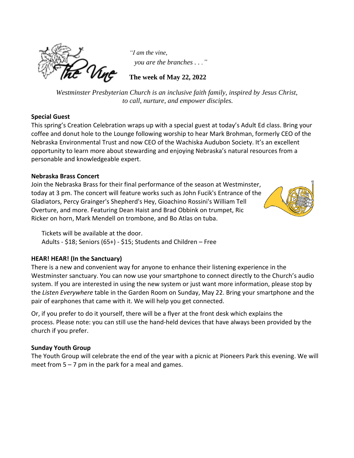

*"I am the vine, you are the branches . . ."*

**The week of May 22, 2022**

*Westminster Presbyterian Church is an inclusive faith family, inspired by Jesus Christ, to call, nurture, and empower disciples.*

#### **Special Guest**

This spring's Creation Celebration wraps up with a special guest at today's Adult Ed class. Bring your coffee and donut hole to the Lounge following worship to hear Mark Brohman, formerly CEO of the Nebraska Environmental Trust and now CEO of the Wachiska Audubon Society. It's an excellent opportunity to learn more about stewarding and enjoying Nebraska's natural resources from a personable and knowledgeable expert.

#### **Nebraska Brass Concert**

Join the Nebraska Brass for their final performance of the season at Westminster, today at 3 pm. The concert will feature works such as John Fucik's Entrance of the Gladiators, Percy Grainger's Shepherd's Hey, Gioachino Rossini's William Tell Overture, and more. Featuring Dean Haist and Brad Obbink on trumpet, Ric Ricker on horn, Mark Mendell on trombone, and Bo Atlas on tuba.



Tickets will be available at the door. Adults - \$18; Seniors (65+) - \$15; Students and Children – Free

### **HEAR! HEAR! (In the Sanctuary)**

There is a new and convenient way for anyone to enhance their listening experience in the Westminster sanctuary. You can now use your smartphone to connect directly to the Church's audio system. If you are interested in using the new system or just want more information, please stop by the *Listen Everywhere* table in the Garden Room on Sunday, May 22. Bring your smartphone and the pair of earphones that came with it. We will help you get connected.

Or, if you prefer to do it yourself, there will be a flyer at the front desk which explains the process. Please note: you can still use the hand-held devices that have always been provided by the church if you prefer.

### **Sunday Youth Group**

The Youth Group will celebrate the end of the year with a picnic at Pioneers Park this evening. We will meet from  $5 - 7$  pm in the park for a meal and games.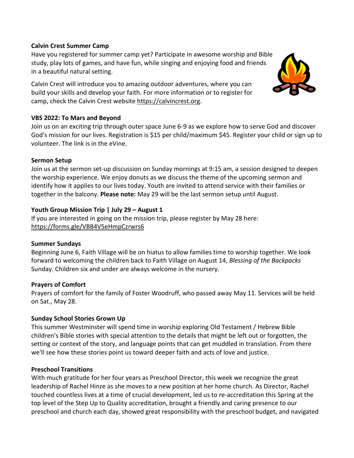#### **Calvin Crest Summer Camp**

Have you registered for summer camp yet? Participate in awesome worship and Bible study, play lots of games, and have fun, while singing and enjoying food and friends in a beautiful natural setting.

Calvin Crest will introduce you to amazing outdoor adventures, where you can build your skills and develop your faith. For more information or to register for camp, check the Calvin Crest website [https://calvincrest.org.](https://r20.rs6.net/tn.jsp?f=001BNtLKR0gu6iY3mQA1MCT8ng7zxbycgLNVuPzhSBCww4NWYEv0HpKjNoNsOv-1T9kTjcrw-fZAzq_R741t77fbs1fV-9B1ztpaQqjZYBR9Owvd4vSLkqiGZIfsh_cGk72y027islGZmMW8CYyx8kOcg==&c=&ch=)



#### **VBS 2022: To Mars and Beyond**

Join us on an exciting trip through outer space June 6-9 as we explore how to serve God and discover God's mission for our lives. Registration is \$15 per child/maximum \$45. Register your child or sign up to volunteer. The link is in the eVine.

#### **Sermon Setup**

Join us at the sermon set-up discussion on Sunday mornings at 9:15 am, a session designed to deepen the worship experience. We enjoy donuts as we discuss the theme of the upcoming sermon and identify how it applies to our lives today. Youth are invited to attend service with their families or together in the balcony. **Please note:** May 29 will be the last sermon setup until August.

### **Youth Group Mission Trip | July 29 – August 1**

If you are interested in going on the mission trip, please register by May 28 here: <https://forms.gle/VBB4V5eHmpCzrwrs6>

#### **Summer Sundays**

Beginning June 6, Faith Village will be on hiatus to allow families time to worship together. We look forward to welcoming the children back to Faith Village on August 14, *Blessing of the Backpacks* Sunday. Children six and under are always welcome in the nursery.

### **Prayers of Comfort**

Prayers of comfort for the family of Foster Woodruff, who passed away May 11. Services will be held on Sat., May 28.

### **Sunday School Stories Grown Up**

This summer Westminster will spend time in worship exploring Old Testament / Hebrew Bible children's Bible stories with special attention to the details that might be left out or forgotten, the setting or context of the story, and language points that can get muddled in translation. From there we'll see how these stories point us toward deeper faith and acts of love and justice.

### **Preschool Transitions**

With much gratitude for her four years as Preschool Director, this week we recognize the great leadership of Rachel Hinze as she moves to a new position at her home church. As Director, Rachel touched countless lives at a time of crucial development, led us to re-accreditation this Spring at the top level of the Step Up to Quality accreditation, brought a friendly and caring presence to our preschool and church each day, showed great responsibility with the preschool budget, and navigated